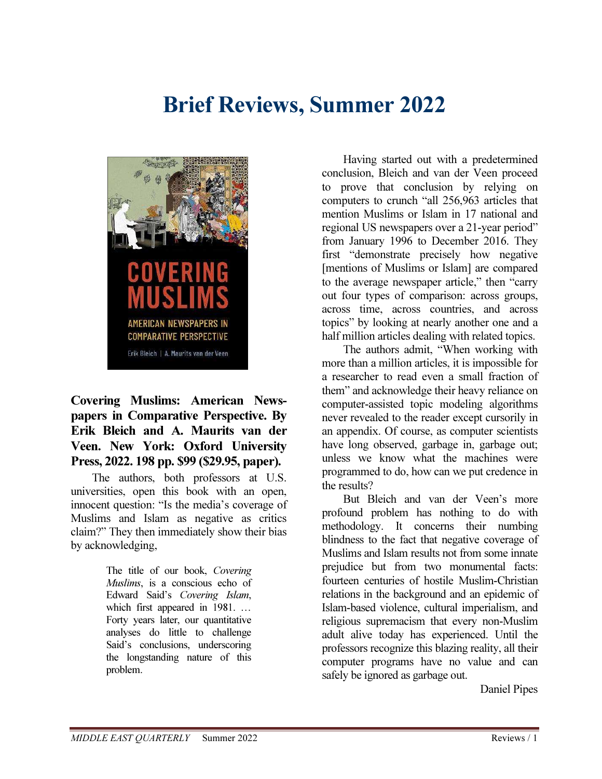# Brief Reviews, Summer 2022



# Covering Muslims: American Newspapers in Comparative Perspective. By Erik Bleich and A. Maurits van der Veen. New York: Oxford University Press, 2022. 198 pp. \$99 (\$29.95, paper).

The authors, both professors at U.S. universities, open this book with an open, innocent question: "Is the media's coverage of Muslims and Islam as negative as critics claim?" They then immediately show their bias by acknowledging,

> The title of our book, Covering Muslims, is a conscious echo of Edward Said's Covering Islam, which first appeared in 1981. … Forty years later, our quantitative analyses do little to challenge Said's conclusions, underscoring the longstanding nature of this problem.

Having started out with a predetermined conclusion, Bleich and van der Veen proceed to prove that conclusion by relying on computers to crunch "all 256,963 articles that mention Muslims or Islam in 17 national and regional US newspapers over a 21-year period" from January 1996 to December 2016. They first "demonstrate precisely how negative [mentions of Muslims or Islam] are compared to the average newspaper article," then "carry out four types of comparison: across groups, across time, across countries, and across topics" by looking at nearly another one and a half million articles dealing with related topics.

The authors admit, "When working with more than a million articles, it is impossible for a researcher to read even a small fraction of them" and acknowledge their heavy reliance on computer-assisted topic modeling algorithms never revealed to the reader except cursorily in an appendix. Of course, as computer scientists have long observed, garbage in, garbage out; unless we know what the machines were programmed to do, how can we put credence in the results?

But Bleich and van der Veen's more profound problem has nothing to do with methodology. It concerns their numbing blindness to the fact that negative coverage of Muslims and Islam results not from some innate prejudice but from two monumental facts: fourteen centuries of hostile Muslim-Christian relations in the background and an epidemic of Islam-based violence, cultural imperialism, and religious supremacism that every non-Muslim adult alive today has experienced. Until the professors recognize this blazing reality, all their computer programs have no value and can safely be ignored as garbage out.

Daniel Pipes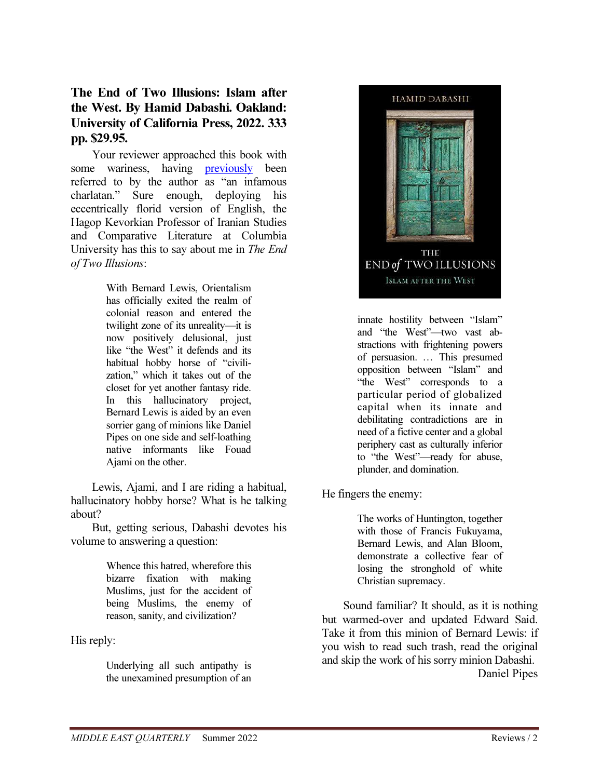#### The End of Two Illusions: Islam after the West. By Hamid Dabashi. Oakland: University of California Press, 2022. 333 pp. \$29.95.

Your reviewer approached this book with some wariness, having previously been referred to by the author as "an infamous charlatan." Sure enough, deploying his eccentrically florid version of English, the Hagop Kevorkian Professor of Iranian Studies and Comparative Literature at Columbia University has this to say about me in The End of Two Illusions:

> With Bernard Lewis, Orientalism has officially exited the realm of colonial reason and entered the twilight zone of its unreality—it is now positively delusional, just like "the West" it defends and its habitual hobby horse of "civilization," which it takes out of the closet for yet another fantasy ride. In this hallucinatory project, Bernard Lewis is aided by an even sorrier gang of minions like Daniel Pipes on one side and self-loathing native informants like Fouad Ajami on the other.

Lewis, Ajami, and I are riding a habitual, hallucinatory hobby horse? What is he talking about?

But, getting serious, Dabashi devotes his volume to answering a question:

> Whence this hatred, wherefore this bizarre fixation with making Muslims, just for the accident of being Muslims, the enemy of reason, sanity, and civilization?

His reply:

Underlying all such antipathy is the unexamined presumption of an



innate hostility between "Islam" and "the West"—two vast abstractions with frightening powers of persuasion. … This presumed opposition between "Islam" and "the West" corresponds to a particular period of globalized capital when its innate and debilitating contradictions are in need of a fictive center and a global periphery cast as culturally inferior to "the West"—ready for abuse, plunder, and domination.

He fingers the enemy:

The works of Huntington, together with those of Francis Fukuyama, Bernard Lewis, and Alan Bloom, demonstrate a collective fear of losing the stronghold of white Christian supremacy.

Sound familiar? It should, as it is nothing but warmed-over and updated Edward Said. Take it from this minion of Bernard Lewis: if you wish to read such trash, read the original and skip the work of his sorry minion Dabashi. Daniel Pipes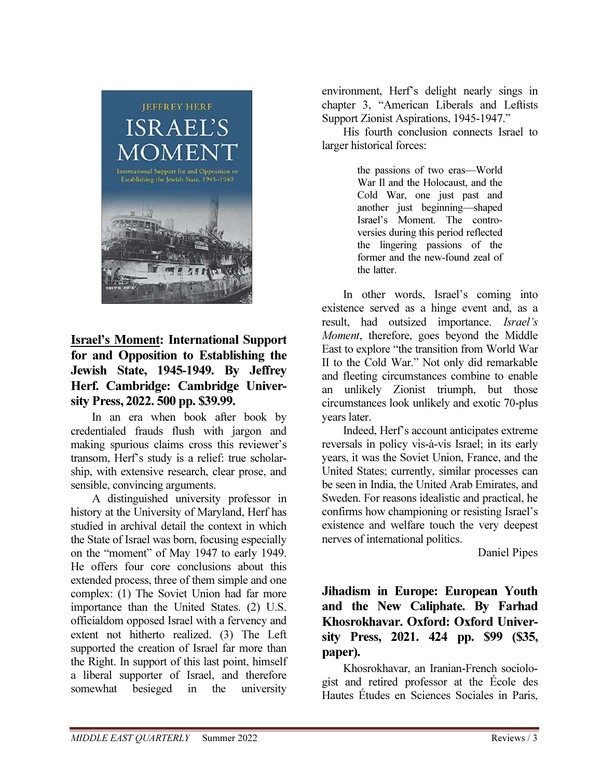

# Israel's Moment: International Support for and Opposition to Establishing the Jewish State, 1945-1949. By Jeffrey Herf. Cambridge: Cambridge University Press, 2022. 500 pp. \$39.99.

In an era when book after book by credentialed frauds flush with jargon and making spurious claims cross this reviewer's transom, Herf's study is a relief: true scholarship, with extensive research, clear prose, and sensible, convincing arguments.

A distinguished university professor in history at the University of Maryland, Herf has studied in archival detail the context in which the State of Israel was born, focusing especially on the "moment" of May 1947 to early 1949. He offers four core conclusions about this extended process, three of them simple and one complex: (1) The Soviet Union had far more importance than the United States. (2) U.S. officialdom opposed Israel with a fervency and extent not hitherto realized. (3) The Left supported the creation of Israel far more than the Right. In support of this last point, himself a liberal supporter of Israel, and therefore somewhat besieged in the university

environment, Herf's delight nearly sings in chapter 3, "American Liberals and Leftists Support Zionist Aspirations, 1945-1947."

His fourth conclusion connects Israel to larger historical forces:

> the passions of two eras—World War Il and the Holocaust, and the Cold War, one just past and another just beginning—shaped Israel's Moment. The controversies during this period reflected the lingering passions of the former and the new-found zeal of the latter.

In other words, Israel's coming into existence served as a hinge event and, as a result, had outsized importance. Israel's Moment, therefore, goes beyond the Middle East to explore "the transition from World War II to the Cold War." Not only did remarkable and fleeting circumstances combine to enable an unlikely Zionist triumph, but those circumstances look unlikely and exotic 70-plus years later.

Indeed, Herf's account anticipates extreme reversals in policy vis-à-vis Israel; in its early years, it was the Soviet Union, France, and the United States; currently, similar processes can be seen in India, the United Arab Emirates, and Sweden. For reasons idealistic and practical, he confirms how championing or resisting Israel's existence and welfare touch the very deepest nerves of international politics.

Daniel Pipes

# Jihadism in Europe: European Youth and the New Caliphate. By Farhad Khosrokhavar. Oxford: Oxford University Press, 2021. 424 pp. \$99 (\$35, paper).

Khosrokhavar, an Iranian-French sociologist and retired professor at the École des Hautes Études en Sciences Sociales in Paris,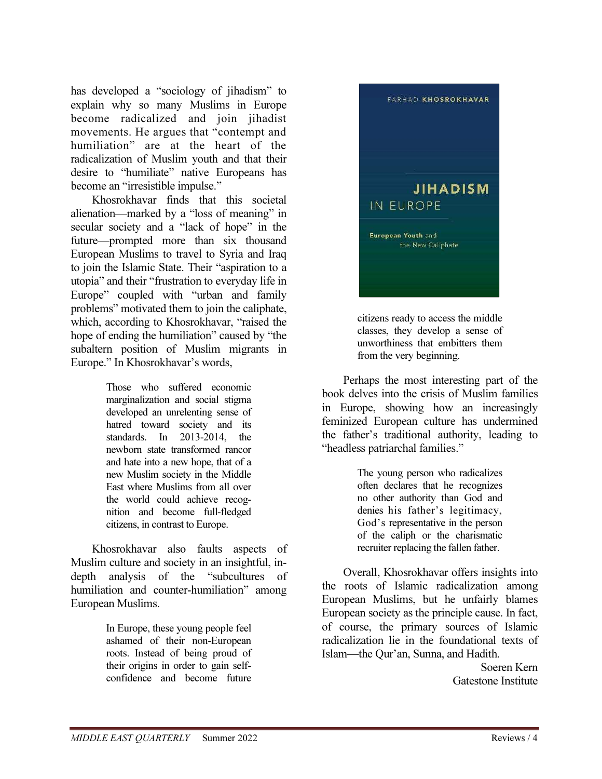has developed a "sociology of jihadism" to explain why so many Muslims in Europe become radicalized and join jihadist movements. He argues that "contempt and humiliation" are at the heart of the radicalization of Muslim youth and that their desire to "humiliate" native Europeans has become an "irresistible impulse."

Khosrokhavar finds that this societal alienation—marked by a "loss of meaning" in secular society and a "lack of hope" in the future—prompted more than six thousand European Muslims to travel to Syria and Iraq to join the Islamic State. Their "aspiration to a utopia" and their "frustration to everyday life in Europe" coupled with "urban and family problems" motivated them to join the caliphate, which, according to Khosrokhavar, "raised the hope of ending the humiliation" caused by "the subaltern position of Muslim migrants in Europe." In Khosrokhavar's words,

> Those who suffered economic marginalization and social stigma developed an unrelenting sense of hatred toward society and its standards. In  $2013-2014$  the newborn state transformed rancor and hate into a new hope, that of a new Muslim society in the Middle East where Muslims from all over the world could achieve recognition and become full-fledged citizens, in contrast to Europe.

Khosrokhavar also faults aspects of Muslim culture and society in an insightful, indepth analysis of the "subcultures of humiliation and counter-humiliation" among European Muslims.

> In Europe, these young people feel ashamed of their non-European roots. Instead of being proud of their origins in order to gain selfconfidence and become future



citizens ready to access the middle classes, they develop a sense of unworthiness that embitters them from the very beginning.

Perhaps the most interesting part of the book delves into the crisis of Muslim families in Europe, showing how an increasingly feminized European culture has undermined the father's traditional authority, leading to "headless patriarchal families."

> The young person who radicalizes often declares that he recognizes no other authority than God and denies his father's legitimacy, God's representative in the person of the caliph or the charismatic recruiter replacing the fallen father.

Overall, Khosrokhavar offers insights into the roots of Islamic radicalization among European Muslims, but he unfairly blames European society as the principle cause. In fact, of course, the primary sources of Islamic radicalization lie in the foundational texts of Islam—the Qur'an, Sunna, and Hadith.

> Soeren Kern Gatestone Institute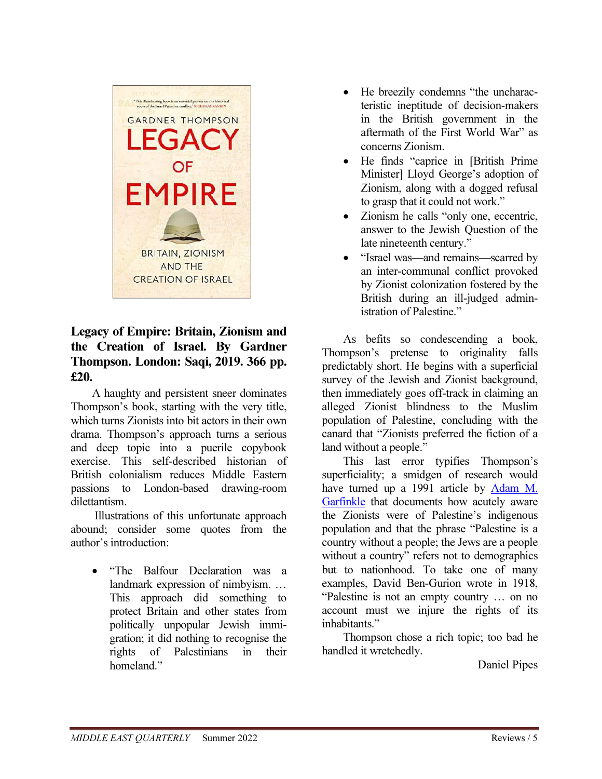

# Legacy of Empire: Britain, Zionism and the Creation of Israel. By Gardner Thompson. London: Saqi, 2019. 366 pp. £20.

A haughty and persistent sneer dominates Thompson's book, starting with the very title, which turns Zionists into bit actors in their own drama. Thompson's approach turns a serious and deep topic into a puerile copybook exercise. This self-described historian of British colonialism reduces Middle Eastern passions to London-based drawing-room dilettantism.

 Illustrations of this unfortunate approach abound; consider some quotes from the author's introduction:

• "The Balfour Declaration was a landmark expression of nimbyism. … This approach did something to protect Britain and other states from politically unpopular Jewish immigration; it did nothing to recognise the rights of Palestinians in their homeland."

- He breezily condemns "the uncharacteristic ineptitude of decision-makers in the British government in the aftermath of the First World War" as concerns Zionism.
- He finds "caprice in [British Prime Minister] Lloyd George's adoption of Zionism, along with a dogged refusal to grasp that it could not work."
- Zionism he calls "only one, eccentric, answer to the Jewish Question of the late nineteenth century."
- "Israel was—and remains—scarred by an inter-communal conflict provoked by Zionist colonization fostered by the British during an ill-judged administration of Palestine."

As befits so condescending a book, Thompson's pretense to originality falls predictably short. He begins with a superficial survey of the Jewish and Zionist background, then immediately goes off-track in claiming an alleged Zionist blindness to the Muslim population of Palestine, concluding with the canard that "Zionists preferred the fiction of a land without a people."

This last error typifies Thompson's superficiality; a smidgen of research would have turned up a 1991 article by Adam M. Garfinkle that documents how acutely aware the Zionists were of Palestine's indigenous population and that the phrase "Palestine is a country without a people; the Jews are a people without a country" refers not to demographics but to nationhood. To take one of many examples, David Ben-Gurion wrote in 1918, "Palestine is not an empty country … on no account must we injure the rights of its inhabitants."

Thompson chose a rich topic; too bad he handled it wretchedly.

Daniel Pipes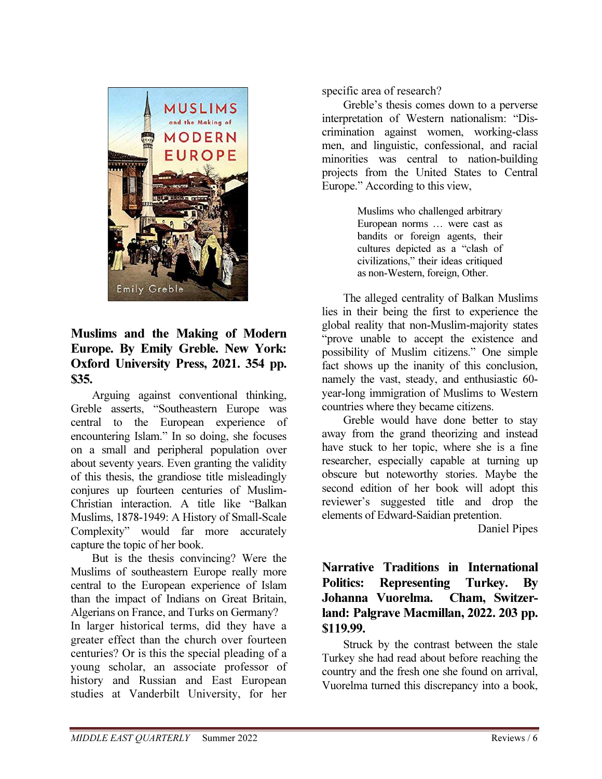

## Muslims and the Making of Modern Europe. By Emily Greble. New York: Oxford University Press, 2021. 354 pp. \$35.

Arguing against conventional thinking, Greble asserts, "Southeastern Europe was central to the European experience of encountering Islam." In so doing, she focuses on a small and peripheral population over about seventy years. Even granting the validity of this thesis, the grandiose title misleadingly conjures up fourteen centuries of Muslim-Christian interaction. A title like "Balkan Muslims, 1878-1949: A History of Small-Scale Complexity" would far more accurately capture the topic of her book.

But is the thesis convincing? Were the Muslims of southeastern Europe really more central to the European experience of Islam than the impact of Indians on Great Britain, Algerians on France, and Turks on Germany?

In larger historical terms, did they have a greater effect than the church over fourteen centuries? Or is this the special pleading of a young scholar, an associate professor of history and Russian and East European studies at Vanderbilt University, for her specific area of research?

Greble's thesis comes down to a perverse interpretation of Western nationalism: "Discrimination against women, working-class men, and linguistic, confessional, and racial minorities was central to nation-building projects from the United States to Central Europe." According to this view,

> Muslims who challenged arbitrary European norms … were cast as bandits or foreign agents, their cultures depicted as a "clash of civilizations," their ideas critiqued as non-Western, foreign, Other.

The alleged centrality of Balkan Muslims lies in their being the first to experience the global reality that non-Muslim-majority states "prove unable to accept the existence and possibility of Muslim citizens." One simple fact shows up the inanity of this conclusion, namely the vast, steady, and enthusiastic 60 year-long immigration of Muslims to Western countries where they became citizens.

Greble would have done better to stay away from the grand theorizing and instead have stuck to her topic, where she is a fine researcher, especially capable at turning up obscure but noteworthy stories. Maybe the second edition of her book will adopt this reviewer's suggested title and drop the elements of Edward-Saidian pretention.

Daniel Pipes

Narrative Traditions in International Politics: Representing Turkey. By Johanna Vuorelma. Cham, Switzerland: Palgrave Macmillan, 2022. 203 pp. \$119.99.

Struck by the contrast between the stale Turkey she had read about before reaching the country and the fresh one she found on arrival, Vuorelma turned this discrepancy into a book,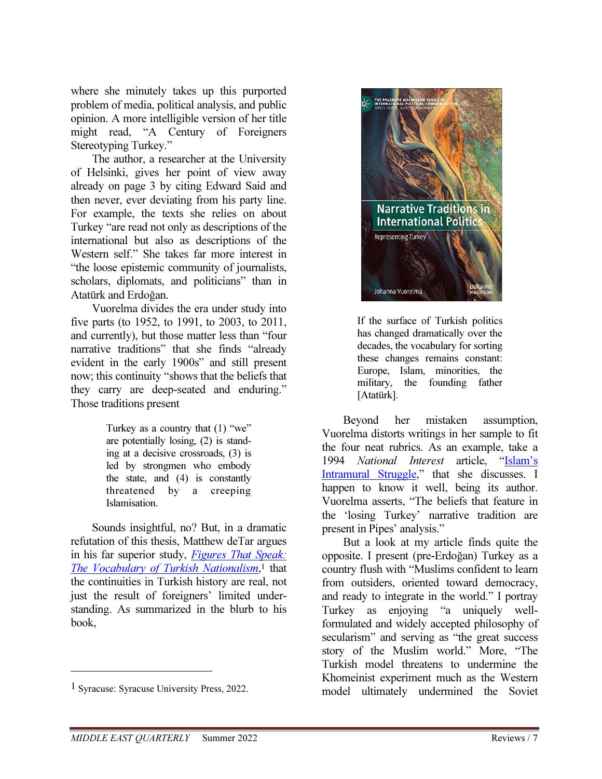where she minutely takes up this purported problem of media, political analysis, and public opinion. A more intelligible version of her title might read, "A Century of Foreigners Stereotyping Turkey."

The author, a researcher at the University of Helsinki, gives her point of view away already on page 3 by citing Edward Said and then never, ever deviating from his party line. For example, the texts she relies on about Turkey "are read not only as descriptions of the international but also as descriptions of the Western self." She takes far more interest in "the loose epistemic community of journalists, scholars, diplomats, and politicians" than in Atatürk and Erdoğan.

Vuorelma divides the era under study into five parts (to 1952, to 1991, to 2003, to 2011, and currently), but those matter less than "four narrative traditions" that she finds "already evident in the early 1900s" and still present now; this continuity "shows that the beliefs that they carry are deep-seated and enduring." Those traditions present

> Turkey as a country that (1) "we" are potentially losing, (2) is standing at a decisive crossroads, (3) is led by strongmen who embody the state, and (4) is constantly threatened by a creeping Islamisation.

Sounds insightful, no? But, in a dramatic refutation of this thesis, Matthew deTar argues in his far superior study, Figures That Speak: The Vocabulary of Turkish Nationalism,<sup>1</sup> that the continuities in Turkish history are real, not just the result of foreigners' limited understanding. As summarized in the blurb to his book,

-



If the surface of Turkish politics has changed dramatically over the decades, the vocabulary for sorting these changes remains constant: Europe, Islam, minorities, the military, the founding father [Atatürk].

Beyond her mistaken assumption, Vuorelma distorts writings in her sample to fit the four neat rubrics. As an example, take a 1994 National Interest article. "Islam's Intramural Struggle," that she discusses. I happen to know it well, being its author. Vuorelma asserts, "The beliefs that feature in the 'losing Turkey' narrative tradition are present in Pipes' analysis."

But a look at my article finds quite the opposite. I present (pre-Erdoğan) Turkey as a country flush with "Muslims confident to learn from outsiders, oriented toward democracy, and ready to integrate in the world." I portray Turkey as enjoying "a uniquely wellformulated and widely accepted philosophy of secularism" and serving as "the great success story of the Muslim world." More, "The Turkish model threatens to undermine the Khomeinist experiment much as the Western model ultimately undermined the Soviet

<sup>1</sup> Syracuse: Syracuse University Press, 2022.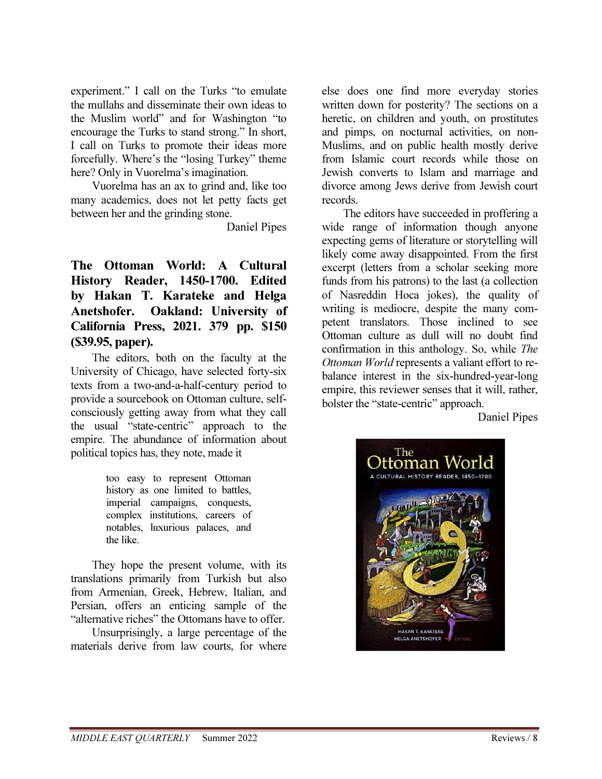experiment." I call on the Turks "to emulate the mullahs and disseminate their own ideas to the Muslim world" and for Washington "to encourage the Turks to stand strong." In short, I call on Turks to promote their ideas more forcefully. Where's the "losing Turkey" theme here? Only in Vuorelma's imagination.

Vuorelma has an ax to grind and, like too many academics, does not let petty facts get between her and the grinding stone.

Daniel Pipes

The Ottoman World: A Cultural History Reader, 1450-1700. Edited by Hakan T. Karateke and Helga Anetshofer. Oakland: University of California Press, 2021. 379 pp. \$150 (\$39.95, paper).

The editors, both on the faculty at the University of Chicago, have selected forty-six texts from a two-and-a-half-century period to provide a sourcebook on Ottoman culture, selfconsciously getting away from what they call the usual "state-centric" approach to the empire. The abundance of information about political topics has, they note, made it

> too easy to represent Ottoman history as one limited to battles, imperial campaigns, conquests, complex institutions, careers of notables, luxurious palaces, and the like.

They hope the present volume, with its translations primarily from Turkish but also from Armenian, Greek, Hebrew, Italian, and Persian, offers an enticing sample of the "alternative riches" the Ottomans have to offer.

Unsurprisingly, a large percentage of the materials derive from law courts, for where

else does one find more everyday stories written down for posterity? The sections on a heretic, on children and youth, on prostitutes and pimps, on nocturnal activities, on non-Muslims, and on public health mostly derive from Islamic court records while those on Jewish converts to Islam and marriage and divorce among Jews derive from Jewish court records.

The editors have succeeded in proffering a wide range of information though anyone expecting gems of literature or storytelling will likely come away disappointed. From the first excerpt (letters from a scholar seeking more funds from his patrons) to the last (a collection of Nasreddin Hoca jokes), the quality of writing is mediocre, despite the many competent translators. Those inclined to see Ottoman culture as dull will no doubt find confirmation in this anthology. So, while The Ottoman World represents a valiant effort to rebalance interest in the six-hundred-year-long empire, this reviewer senses that it will, rather, bolster the "state-centric" approach.

Daniel Pipes

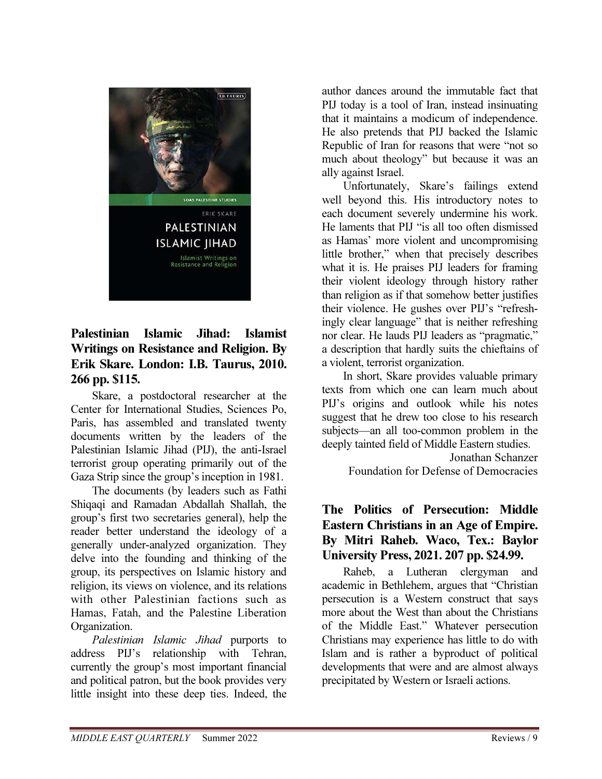

## Palestinian Islamic Jihad: Islamist Writings on Resistance and Religion. By Erik Skare. London: I.B. Taurus, 2010. 266 pp. \$115.

Skare, a postdoctoral researcher at the Center for International Studies, Sciences Po, Paris, has assembled and translated twenty documents written by the leaders of the Palestinian Islamic Jihad (PIJ), the anti-Israel terrorist group operating primarily out of the Gaza Strip since the group's inception in 1981.

The documents (by leaders such as Fathi Shiqaqi and Ramadan Abdallah Shallah, the group's first two secretaries general), help the reader better understand the ideology of a generally under-analyzed organization. They delve into the founding and thinking of the group, its perspectives on Islamic history and religion, its views on violence, and its relations with other Palestinian factions such as Hamas, Fatah, and the Palestine Liberation Organization.

Palestinian Islamic Jihad purports to address PIJ's relationship with Tehran, currently the group's most important financial and political patron, but the book provides very little insight into these deep ties. Indeed, the

author dances around the immutable fact that PIJ today is a tool of Iran, instead insinuating that it maintains a modicum of independence. He also pretends that PIJ backed the Islamic Republic of Iran for reasons that were "not so much about theology" but because it was an ally against Israel.

Unfortunately, Skare's failings extend well beyond this. His introductory notes to each document severely undermine his work. He laments that PIJ "is all too often dismissed as Hamas' more violent and uncompromising little brother," when that precisely describes what it is. He praises PIJ leaders for framing their violent ideology through history rather than religion as if that somehow better justifies their violence. He gushes over PIJ's "refreshingly clear language" that is neither refreshing nor clear. He lauds PIJ leaders as "pragmatic," a description that hardly suits the chieftains of a violent, terrorist organization.

In short, Skare provides valuable primary texts from which one can learn much about PIJ's origins and outlook while his notes suggest that he drew too close to his research subjects—an all too-common problem in the deeply tainted field of Middle Eastern studies.

Jonathan Schanzer Foundation for Defense of Democracies

#### The Politics of Persecution: Middle Eastern Christians in an Age of Empire. By Mitri Raheb. Waco, Tex.: Baylor University Press, 2021. 207 pp. \$24.99.

Raheb, a Lutheran clergyman and academic in Bethlehem, argues that "Christian persecution is a Western construct that says more about the West than about the Christians of the Middle East." Whatever persecution Christians may experience has little to do with Islam and is rather a byproduct of political developments that were and are almost always precipitated by Western or Israeli actions.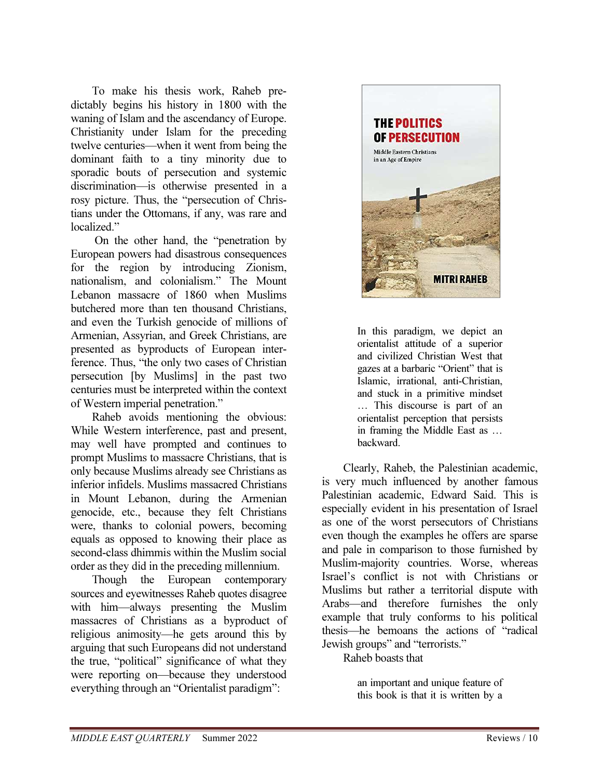To make his thesis work, Raheb predictably begins his history in 1800 with the waning of Islam and the ascendancy of Europe. Christianity under Islam for the preceding twelve centuries—when it went from being the dominant faith to a tiny minority due to sporadic bouts of persecution and systemic discrimination—is otherwise presented in a rosy picture. Thus, the "persecution of Christians under the Ottomans, if any, was rare and localized."

 On the other hand, the "penetration by European powers had disastrous consequences for the region by introducing Zionism, nationalism, and colonialism." The Mount Lebanon massacre of 1860 when Muslims butchered more than ten thousand Christians, and even the Turkish genocide of millions of Armenian, Assyrian, and Greek Christians, are presented as byproducts of European interference. Thus, "the only two cases of Christian persecution [by Muslims] in the past two centuries must be interpreted within the context of Western imperial penetration."

Raheb avoids mentioning the obvious: While Western interference, past and present, may well have prompted and continues to prompt Muslims to massacre Christians, that is only because Muslims already see Christians as inferior infidels. Muslims massacred Christians in Mount Lebanon, during the Armenian genocide, etc., because they felt Christians were, thanks to colonial powers, becoming equals as opposed to knowing their place as second-class dhimmis within the Muslim social order as they did in the preceding millennium.

Though the European contemporary sources and eyewitnesses Raheb quotes disagree with him—always presenting the Muslim massacres of Christians as a byproduct of religious animosity—he gets around this by arguing that such Europeans did not understand the true, "political" significance of what they were reporting on—because they understood everything through an "Orientalist paradigm":



In this paradigm, we depict an orientalist attitude of a superior and civilized Christian West that gazes at a barbaric "Orient" that is Islamic, irrational, anti-Christian, and stuck in a primitive mindset … This discourse is part of an orientalist perception that persists in framing the Middle East as … backward.

Clearly, Raheb, the Palestinian academic, is very much influenced by another famous Palestinian academic, Edward Said. This is especially evident in his presentation of Israel as one of the worst persecutors of Christians even though the examples he offers are sparse and pale in comparison to those furnished by Muslim-majority countries. Worse, whereas Israel's conflict is not with Christians or Muslims but rather a territorial dispute with Arabs—and therefore furnishes the only example that truly conforms to his political thesis—he bemoans the actions of "radical Jewish groups" and "terrorists."

Raheb boasts that

an important and unique feature of this book is that it is written by a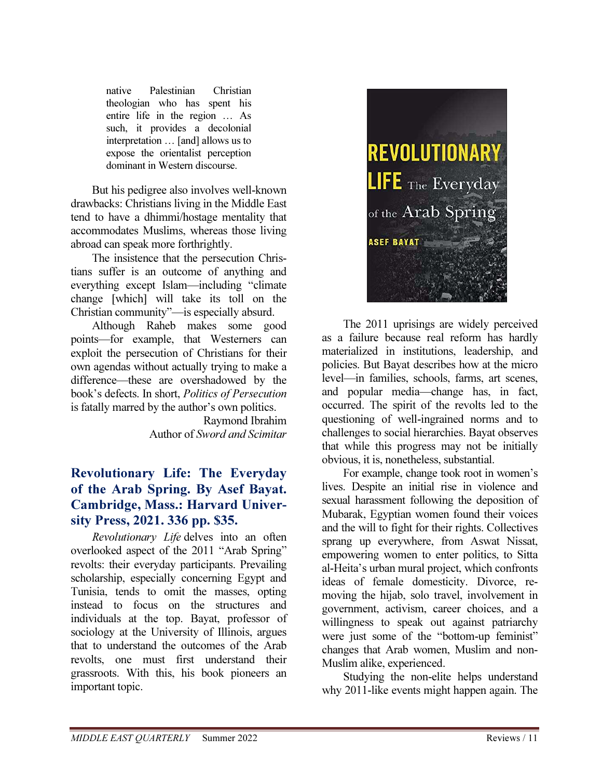native Palestinian Christian theologian who has spent his entire life in the region … As such, it provides a decolonial interpretation … [and] allows us to expose the orientalist perception dominant in Western discourse.

But his pedigree also involves well-known drawbacks: Christians living in the Middle East tend to have a dhimmi/hostage mentality that accommodates Muslims, whereas those living abroad can speak more forthrightly.

The insistence that the persecution Christians suffer is an outcome of anything and everything except Islam—including "climate change [which] will take its toll on the Christian community"—is especially absurd.

Although Raheb makes some good points—for example, that Westerners can exploit the persecution of Christians for their own agendas without actually trying to make a difference—these are overshadowed by the book's defects. In short, Politics of Persecution is fatally marred by the author's own politics.

> Raymond Ibrahim Author of Sword and Scimitar

# Revolutionary Life: The Everyday of the Arab Spring. By Asef Bayat. Cambridge, Mass.: Harvard University Press, 2021. 336 pp. \$35.

Revolutionary Life delves into an often overlooked aspect of the 2011 "Arab Spring" revolts: their everyday participants. Prevailing scholarship, especially concerning Egypt and Tunisia, tends to omit the masses, opting instead to focus on the structures and individuals at the top. Bayat, professor of sociology at the University of Illinois, argues that to understand the outcomes of the Arab revolts, one must first understand their grassroots. With this, his book pioneers an important topic.



The 2011 uprisings are widely perceived as a failure because real reform has hardly materialized in institutions, leadership, and policies. But Bayat describes how at the micro level—in families, schools, farms, art scenes, and popular media—change has, in fact, occurred. The spirit of the revolts led to the questioning of well-ingrained norms and to challenges to social hierarchies. Bayat observes that while this progress may not be initially obvious, it is, nonetheless, substantial.

For example, change took root in women's lives. Despite an initial rise in violence and sexual harassment following the deposition of Mubarak, Egyptian women found their voices and the will to fight for their rights. Collectives sprang up everywhere, from Aswat Nissat, empowering women to enter politics, to Sitta al-Heita's urban mural project, which confronts ideas of female domesticity. Divorce, removing the hijab, solo travel, involvement in government, activism, career choices, and a willingness to speak out against patriarchy were just some of the "bottom-up feminist" changes that Arab women, Muslim and non-Muslim alike, experienced.

Studying the non-elite helps understand why 2011-like events might happen again. The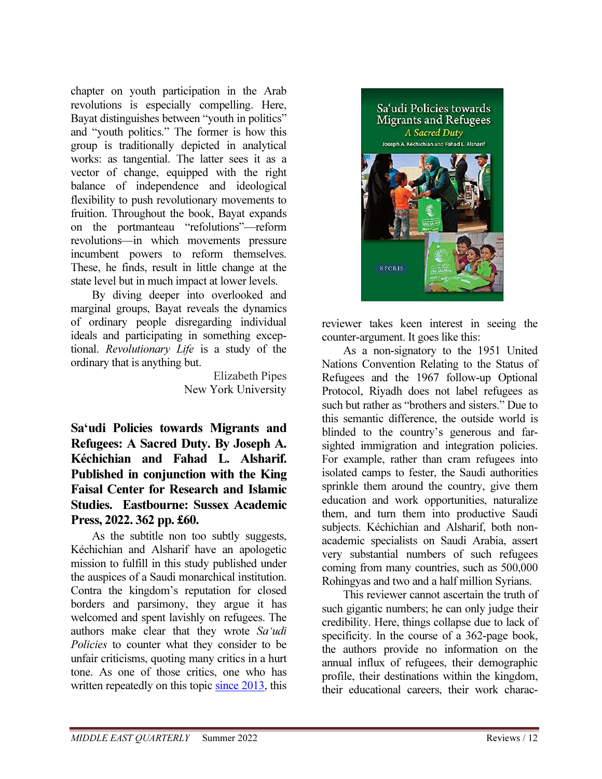chapter on youth participation in the Arab revolutions is especially compelling. Here, Bayat distinguishes between "youth in politics" and "youth politics." The former is how this group is traditionally depicted in analytical works: as tangential. The latter sees it as a vector of change, equipped with the right balance of independence and ideological flexibility to push revolutionary movements to fruition. Throughout the book, Bayat expands on the portmanteau "refolutions"—reform revolutions—in which movements pressure incumbent powers to reform themselves. These, he finds, result in little change at the state level but in much impact at lower levels.

By diving deeper into overlooked and marginal groups, Bayat reveals the dynamics of ordinary people disregarding individual ideals and participating in something exceptional. Revolutionary Life is a study of the ordinary that is anything but.

> Elizabeth Pipes New York University

Sa'udi Policies towards Migrants and Refugees: A Sacred Duty. By Joseph A. Kéchichian and Fahad L. Alsharif. Published in conjunction with the King Faisal Center for Research and Islamic Studies. Eastbourne: Sussex Academic Press, 2022. 362 pp. £60.

As the subtitle non too subtly suggests, Kéchichian and Alsharif have an apologetic mission to fulfill in this study published under the auspices of a Saudi monarchical institution. Contra the kingdom's reputation for closed borders and parsimony, they argue it has welcomed and spent lavishly on refugees. The authors make clear that they wrote Sa'udi Policies to counter what they consider to be unfair criticisms, quoting many critics in a hurt tone. As one of those critics, one who has written repeatedly on this topic since 2013, this



reviewer takes keen interest in seeing the counter-argument. It goes like this:

As a non-signatory to the 1951 United Nations Convention Relating to the Status of Refugees and the 1967 follow-up Optional Protocol, Riyadh does not label refugees as such but rather as "brothers and sisters." Due to this semantic difference, the outside world is blinded to the country's generous and farsighted immigration and integration policies. For example, rather than cram refugees into isolated camps to fester, the Saudi authorities sprinkle them around the country, give them education and work opportunities, naturalize them, and turn them into productive Saudi subjects. Kéchichian and Alsharif, both nonacademic specialists on Saudi Arabia, assert very substantial numbers of such refugees coming from many countries, such as 500,000 Rohingyas and two and a half million Syrians.

This reviewer cannot ascertain the truth of such gigantic numbers; he can only judge their credibility. Here, things collapse due to lack of specificity. In the course of a 362-page book, the authors provide no information on the annual influx of refugees, their demographic profile, their destinations within the kingdom, their educational careers, their work charac-